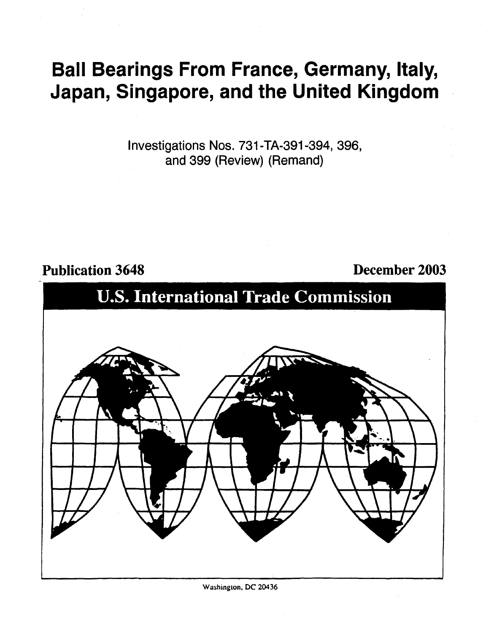# Ball Bearings From France, Germany, Italy, Japan, Singapore, and the United Kingdom

Investigations Nos. 731-TA-391-394, 396, and 399 (Review) (Remand)

### Publication 3648 December 2003



Washington, DC 20436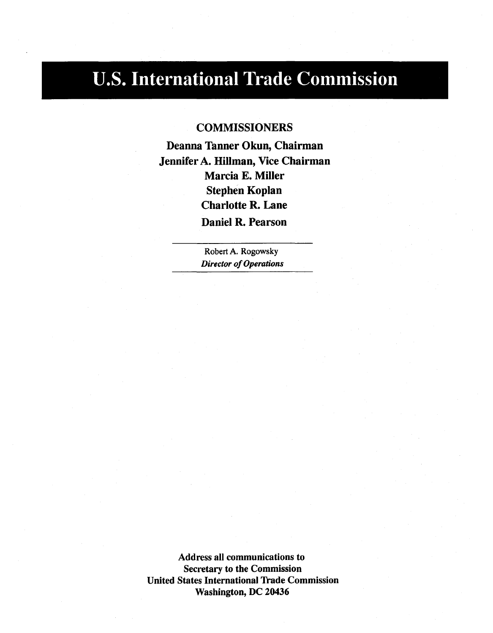## U.S. International Trade Commission

### **COMMISSIONERS**

Deanna Tanner Okun, Chairman Jennifer A. Hillman, Vice Chairman Marcia E. Miller Stephen Koplan Charlotte R. Lane Daniel R. Pearson

> Robert A. Rogowsky *Director of Operations*

Address all communications to Secretary to the Commission United States International Trade Commission Washington, DC 20436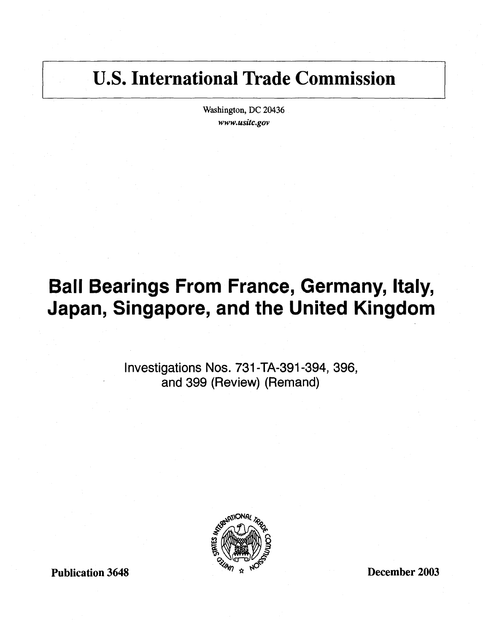### U.S. International Trade Commission

Washington, DC 20436 *www.usitc.gov* 

## Ball Bearings From France, Germany, Italy, Japan, Singapore, and the United Kingdom

Investigations Nos. 731-TA-391-394, 396, and 399 (Review) (Remand)

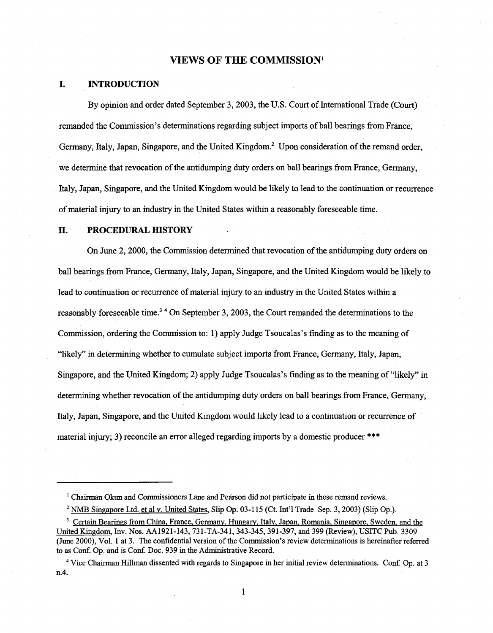#### **VIEWS OF THE COMMISSION<sup>1</sup>**

#### **I. INTRODUCTION**

By opinion and order dated September 3, 2003, the U.S. Court of International Trade (Court) remanded the Commission's determinations regarding subject imports of ball bearings from France, Germany, Italy, Japan, Singapore, and the United Kingdom.<sup>2</sup> Upon consideration of the remand order, we determine that revocation of the antidumping duty orders on ball bearings from France, Germany, Italy, Japan, Singapore, and the United Kingdom would be likely to lead to the continuation or recurrence of material injury to an industry in the United States within a reasonably foreseeable time.

#### **II. PROCEDURAL HISTORY**

On June 2, 2000, the Commission determined that revocation of the antidumping duty orders on ball bearings from France, Germany, Italy, Japan, Singapore, and the United Kingdom would be likely to lead to continuation or recurrence of material injury to an industry in the United States within a reasonably foreseeable time.<sup>34</sup> On September 3, 2003, the Court remanded the determinations to the Commission, ordering the Commission to: 1) apply Judge Tsoucalas's finding as to the meaning of "likely" in determining whether to cumulate subject imports from France, Germany, Italy, Japan, Singapore, and the United Kingdom; 2) apply Judge Tsoucalas's finding as to the meaning of "likely" in determining whether revocation of the antidumping duty orders on ball bearings from France, Germany, Italy, Japan, Singapore, and the United Kingdom would likely lead to a continuation or recurrence of material injury; 3) reconcile an error alleged regarding imports by a domestic producer \*\*\*

<sup>1</sup> Chairman Okun and Commissioners Lane and Pearson did not participate in these remand reviews.

<sup>2</sup> NMB Singapore Ltd. et al v. United States, Slip Op. 03-115 (Ct. Int'l Trade Sep. 3, 2003) (Slip Op.).

<sup>&</sup>lt;sup>3</sup> Certain Bearings from China, France, Germany, Hungary, Italy, Japan, Romania, Singapore, Sweden, and the United Kingdom, Inv. Nos. AA1921-143, 731-TA-341, 343-345, 391-397, and 399 (Review), USITC Pub. 3309 (June 2000), Vol. 1 at 3. The confidential version of the Commission's review determinations is hereinafter referred to as Conf. Op. and is Conf. Doc. 939 in the Administrative Record.

<sup>4</sup> Vice Chairman Hillman dissented with regards to Singapore in her initial review determinations. Conf. Op. at 3 n.4.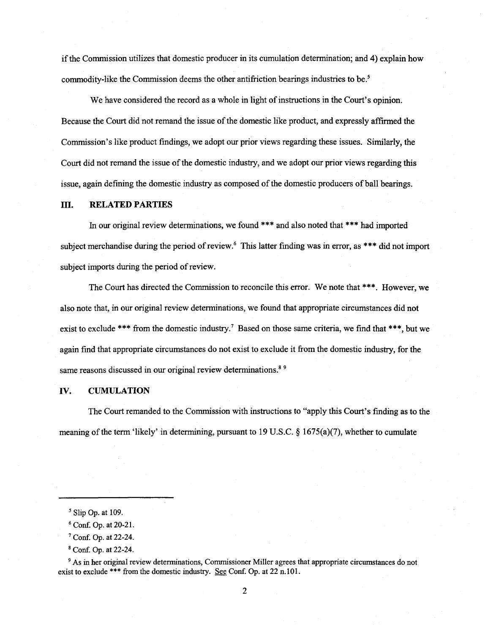if the Commission utilizes that domestic producer in its cumulation determination; and 4) explain how commodity-like the Commission deems the other antifriction bearings industries to be.<sup>5</sup>

We have considered the record as a whole in light of instructions in the Court's opinion. Because the Court did not remand the issue of the domestic like product, and expressly affirmed the Commission's like product findings, we adopt our prior views regarding these issues. Similarly, the Court did not remand the issue of the domestic industry, and we adopt our prior views regarding this issue, again defining the domestic industry as composed of the domestic producers of ball bearings.

#### **ill.** RELATED PARTIES

In our original review determinations, we found \*\*\* and also noted that \*\*\* had imported subject merchandise during the period of review.<sup>6</sup> This latter finding was in error, as \*\*\* did not import subject imports during the period of review.

The Court has directed the Commission to reconcile this error. We note that \*\*\*. However, we also note that, in our original review determinations, we found that appropriate circumstances did not exist to exclude \*\*\* from the domestic industry.<sup>7</sup> Based on those same criteria, we find that \*\*\*, but we again find that appropriate circumstances do not exist to exclude it from the domestic industry, for the same reasons discussed in our original review determinations.<sup>89</sup>

#### IV. **CUMULATION**

The Court remanded to the Commission with instructions to "apply this Court's finding as to the meaning of the term 'likely' in determining, pursuant to 19 U.S.C.  $\S$  1675(a)(7), whether to cumulate

9 As in her original review determinations, Commissioner Miller agrees that appropriate circumstances do not exist to exclude \*\*\* from the domestic industry. See Conf. Op. at 22 n.101.

*<sup>5</sup>*Slip Op. at 109.

<sup>6</sup> Conf. Op. at 20-21.

<sup>7</sup> Conf. Op. at 22-24.

<sup>8</sup> Conf. Op. at 22-24.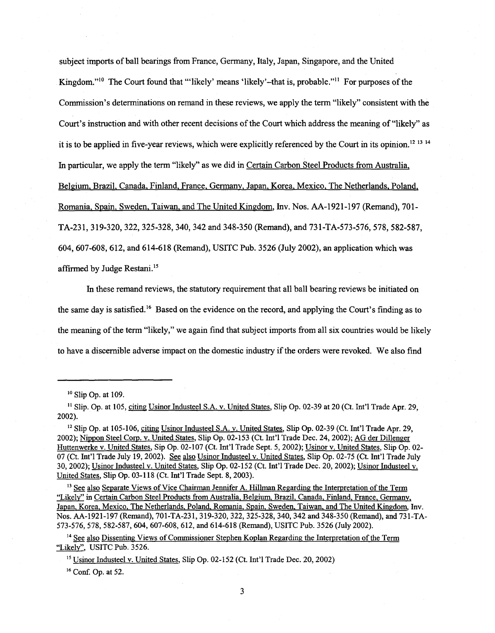subject imports of ball bearings from France, Germany, Italy, Japan, Singapore, and the United Kingdom."<sup>10</sup> The Court found that "'likely' means 'likely'-that is, probable."<sup>11</sup> For purposes of the Commission's determinations on remand in these reviews, we apply the term "likely" consistent with the Court's instruction and with other recent decisions of the Court which address the meaning of "likely" as it is to be applied in five-year reviews, which were explicitly referenced by the Court in its opinion. 12 13 14 In particular, we apply the term "likely" as we did in Certain Carbon Steel Products from Australia. Belgium, Brazil. Canada, Finland, France. Germany, Japan, Korea. Mexico, The Netherlands, Poland, Romania. Spain, Sweden. Taiwan, and The United Kingdom, Inv. Nos. AA-1921-197 (Remand), 701- TA-231, 319-320, 322, 325-328, 340, 342 and 348-350 (Remand), and 731-TA-573-576, 578, 582-587, 604, 607-608, 612, and 614-618 (Remand), USITC Pub. 3526 (July 2002), an application which was affirmed by Judge Restani. 15

In these remand reviews, the statutory requirement that all ball bearing reviews be initiated on the same day is satisfied.<sup>16</sup> Based on the evidence on the record, and applying the Court's finding as to the meaning of the term "likely," we again find that subject imports from all six countries would be likely to have a discernible adverse impact on the domestic industry if the orders were revoked. We also find

<sup>14</sup> See also Dissenting Views of Commissioner Stephen Koplan Regarding the Interpretation of the Term "Likely", USITC Pub. 3526.

16 Conf. Op. at 52.

<sup>10</sup> Slip Op. at 109.

<sup>&</sup>lt;sup>11</sup> Slip. Op. at 105, citing Usinor Industeel S.A. v. United States, Slip Op. 02-39 at 20 (Ct. Int'l Trade Apr. 29, 2002).

<sup>&</sup>lt;sup>12</sup> Slip Op. at 105-106, citing Usinor Industeel S.A. v. United States, Slip Op. 02-39 (Ct. Int'l Trade Apr. 29, 2002); Nippon Steel Coro. v. United States, Slip Op. 02-153 (Ct. Int'l Trade Dec. 24, 2002); AG der Dillenger Huttenwerke v. United States, Sip Op. 02-107 (Ct. Int'l Trade Sept. 5, 2002); Usinor v. United States, Slip Op. 02- 07 (Ct. Int'l Trade July 19, 2002). See also Usinor Industeel v. United States, Slip Op. 02-75 (Ct. Int'l Trade July 30, 2002); Usinor Industeel v. United States, Slip Op. 02-152 (Ct. Int'l Trade Dec. 20, 2002); Usinor Industeel v. United States, Slip Op. 03-118 (Ct. Int'l Trade Sept. 8, 2003).

<sup>&</sup>lt;sup>13</sup> See also Separate Views of Vice Chairman Jennifer A. Hillman Regarding the Interpretation of the Term "Likely" in Certain Carbon Steel Products from Australia, Belgium, Brazil, Canada, Finland, France, Germany. Japan, Korea. Mexico, The Netherlands. Poland. Romania, Spain, Sweden. Taiwan, and The United Kingdom, Inv. Nos. AA-1921-197 (Remand), 701-TA-231, 319-320, 322, 325-328, 340, 342 and 348-350 (Remand), and 731-TA-573-576, 578, 582-587, 604, 607-608, 612, and 614-618 (Remand), USITC Pub. 3526 (July 2002).

<sup>15</sup> Usinor Industeel v. United States, Slip Op. 02-152 (Ct. Int'l Trade Dec. 20, 2002)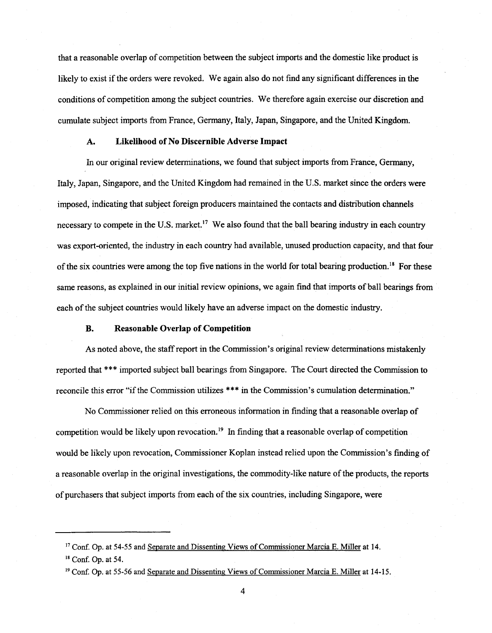that a reasonable overlap of competition between the subject imports and the domestic like product is likely to exist if the orders were revoked. We again also do not find any significant differences in the conditions of competition among the subject countries. We therefore again exercise our discretion and cumulate subject imports from France, Germany, Italy, Japan, Singapore, and the United Kingdom.

#### A. Likelihood of No Discernible Adverse Impact

In our original review determinations, we found that subject imports from France, Germany, Italy, Japan, Singapore, and the United Kingdom had remained in the U.S. market since the orders were imposed, indicating that subject foreign producers maintained the contacts and distribution channels necessary to compete in the U.S. market.<sup>17</sup> We also found that the ball bearing industry in each country was export-oriented, the industry in each country had available, unused production capacity, and that four of the six countries were among the top five nations in the world for total bearing production.<sup>18</sup> For these same reasons, as explained in our initial review opinions, we again find that imports of ball bearings from each of the subject countries would likely have an adverse impact on the domestic industry.

#### B. Reasonable Overlap of Competition

As noted above, the staff report in the Commission's original review determinations mistakenly reported that\*\*\* imported subject ball bearings from Singapore. The Court directed the Commission to reconcile this error "if the Commission utilizes \*\*\* in the Commission's cumulation determination."

No Commissioner relied on this erroneous information in finding that a reasonable overlap of competition would be likely upon revocation.<sup>19</sup> In finding that a reasonable overlap of competition would be likely upon revocation, Commissioner Koplan instead relied upon the Commission's finding of a reasonable overlap in the original investigations, the commodity-like nature of the products, the reports of purchasers that subject imports from each of the six countries, including Singapore, were

<sup>&</sup>lt;sup>17</sup> Conf. Op. at 54-55 and Separate and Dissenting Views of Commissioner Marcia E. Miller at 14.

<sup>18</sup> Conf. Op. at 54.

<sup>&</sup>lt;sup>19</sup> Conf. Op. at 55-56 and Separate and Dissenting Views of Commissioner Marcia E. Miller at 14-15.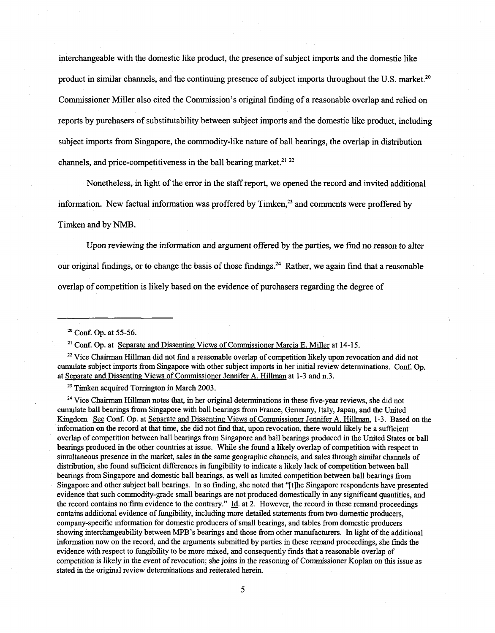interchangeable with the domestic like product, the presence of subject imports and the domestic like product in similar channels, and the continuing presence of subject imports throughout the U.S. market.<sup>20</sup> Commissioner Miller also cited the Commission's original finding of a reasonable overlap and relied on reports by purchasers of substitutability between subject imports and the domestic like product, including subject imports from Singapore, the commodity-like nature of ball bearings, the overlap in distribution channels, and price-competitiveness in the ball bearing market.<sup>21 22</sup>

Nonetheless, in light of the error in the staff report, we opened the record and invited additional information. New factual information was proffered by  $Timken<sub>1</sub><sup>23</sup>$  and comments were proffered by Timken and by NMB.

Upon reviewing the information and argument offered by the parties, we find no reason to alter our original findings, or to change the basis of those findings.<sup>24</sup> Rather, we again find that a reasonable overlap of competition is likely based on the evidence of purchasers regarding the degree of

 $23$  Timken acquired Torrington in March 2003.

<sup>24</sup> Vice Chairman Hillman notes that, in her original determinations in these five-year reviews, she did not cumulate ball bearings from Singapore with ball bearings from France, Germany, Italy, Japan, and the United Kingdom. See Conf. Op. at Separate and Dissenting Views of Commissioner Jennifer A. Hillman, 1-3. Based on the information on the record at that time, she did not find that, upon revocation, there would likely be a sufficient overlap of competition between ball bearings from Singapore and ball bearings produced in the United States or ball bearings produced in the other countries at issue. While she found a likely overlap of competition with respect to simultaneous presence in the market, sales in the same geographic channels, and sales through similar channels of distribution, she found sufficient differences in fungibility to indicate a likely lack of competition between ball bearings from Singapore and domestic ball bearings, as well as limited competition between ball bearings from Singapore and other subject ball bearings. In so finding, she noted that "[t]he Singapore respondents have presented evidence that such commodity-grade small bearings are not produced domestically in any significant quantities, and the record contains no firm evidence to the contrary." Id. at 2. However, the record in these remand proceedings contains additional evidence of fungibility, including more detailed statements from two domestic producers, company-specific information for domestic producers of small bearings, and tables from domestic producers showing interchangeability between MPB 's bearings and those from other manufacturers. In light of the additional information now on the record, and the arguments submitted by parties in these remand proceedings, she finds the evidence with respect to fungibility to be more mixed, and consequently finds that a reasonable overlap of competition is likely in the event of revocation; she joins in the reasoning of Commissioner Koplan on this issue as stated in the original review determinations and reiterated herein.

<sup>&</sup>lt;sup>20</sup> Conf. Op. at 55-56.

 $21$  Conf. Op. at Separate and Dissenting Views of Commissioner Marcia E. Miller at 14-15.

<sup>&</sup>lt;sup>22</sup> Vice Chairman Hillman did not find a reasonable overlap of competition likely upon revocation and did not cumulate subject imports from Singapore with other subject imports in her initial review determinations. Conf. Op. at Separate and Dissenting Views of Commissioner Jennifer A. Hillman at 1-3 and n.3.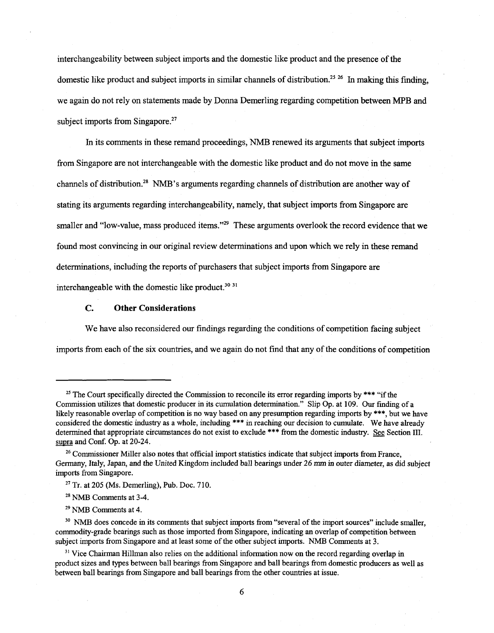interchangeability between subject imports and the domestic like product and the presence of the domestic like product and subject imports in similar channels of distribution.<sup>25 26</sup> In making this finding, we again do not rely on statements made by Donna Demerling regarding competition between MPB and subject imports from Singapore.<sup>27</sup>

In its comments in these remand proceedings, NMB renewed its arguments that subject imports from Singapore are not interchangeable with the domestic like product and do not move in the same channels of distribution.<sup>28</sup> NMB's arguments regarding channels of distribution are another way of stating its arguments regarding interchangeability, namely, that subject imports from Singapore are smaller and "low-value, mass produced items."<sup>29</sup> These arguments overlook the record evidence that we found most convincing in our original review determinations and upon which we rely in these remand determinations, including the reports of purchasers that subject imports from Singapore are interchangeable with the domestic like product.<sup>30 31</sup>

#### **C. Other Considerations**

We have also reconsidered our findings regarding the conditions of competition facing subject imports from each of the six countries, and we again do not find that any of the conditions of competition

<sup>30</sup> NMB does concede in its comments that subject imports from "several of the import sources" include smaller, commodity-grade bearings such as those imported from Singapore, indicating an overlap of competition between subject imports from Singapore and at least some of the other subject imports. NMB Comments at 3.

<sup>31</sup> Vice Chairman Hillman also relies on the additional information now on the record regarding overlap in product sizes and types between ball bearings from Singapore and ball bearings from domestic producers as well as between ball bearings from Singapore and ball bearings from the other countries at issue.

<sup>&</sup>lt;sup>25</sup> The Court specifically directed the Commission to reconcile its error regarding imports by \*\*\* "if the Commission utilizes that domestic producer in its cumulation determination." Slip Op. at 109. Our finding ofa likely reasonable overlap of competition is no way based on any presumption regarding imports by \*\*\*, but we have considered the domestic industry as a whole, including \*\*\* in reaching our decision to cumulate. We have already determined that appropriate circumstances do not exist to exclude \*\*\* from the domestic industry. See Section III. supra and Conf. Op. at 20-24.

<sup>&</sup>lt;sup>26</sup> Commissioner Miller also notes that official import statistics indicate that subject imports from France, Germany, Italy, Japan, and the United Kingdom included ball bearings under 26 mm in outer diameter, as did subject imports from Singapore.

 $27$  Tr. at 205 (Ms. Demerling), Pub. Doc. 710.

<sup>28</sup> NMB Comments at 3-4.

<sup>29</sup> NMB Comments at 4.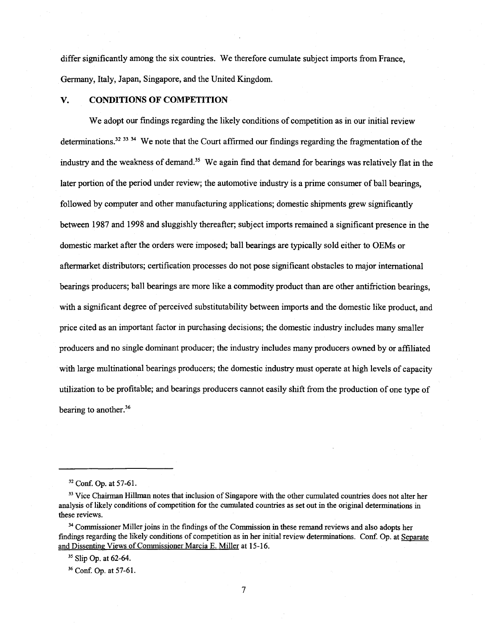differ significantly among the six countries. We therefore cumulate subject imports from France, Germany, Italy, Japan, Singapore, and the United Kingdom.

#### **V. CONDITIONS OF COMPETITION**

We adopt our findings regarding the likely conditions of competition as in our initial review determinations.<sup>32 33 34</sup> We note that the Court affirmed our findings regarding the fragmentation of the industry and the weakness of demand.<sup>35</sup> We again find that demand for bearings was relatively flat in the later portion of the period under review; the automotive industry is a prime consumer of ball bearings, followed by computer and other manufacturing applications; domestic shipments grew significantly between 1987 and 1998 and sluggishly thereafter; subject imports remained a significant presence in the domestic market after the orders were imposed; ball bearings are typically sold either to OEMs or aftermarket distributors; certification processes do not pose significant obstacles to major international bearings producers; ball bearings are more like a commodity product than are other antifriction bearings, with a significant degree of perceived substitutability between imports and the domestic like product, and price cited as an important factor in purchasing decisions; the domestic industry includes many smaller producers and no single dominant producer; the industry includes many producers owned by or affiliated with large multinational bearings producers; the domestic industry must operate at high levels of capacity utilization to be profitable; and bearings producers cannot easily shift from the production of one type of bearing to another.<sup>36</sup>

<sup>34</sup> Commissioner Miller joins in the findings of the Commission in these remand reviews and also adopts her findings regarding the likely conditions of competition as in her initial review determinations. Conf. Op. at Separate and Dissenting Views of Commissioner Marcia E. Miller at 15-16.

<sup>35</sup> Slip Op. at 62-64.

<sup>36</sup> Conf. Op. at 57-61.

<sup>32</sup> Conf. Op. at 57-61.

<sup>&</sup>lt;sup>33</sup> Vice Chairman Hillman notes that inclusion of Singapore with the other cumulated countries does not alter her analysis of likely conditions of competition for the cumulated countries as set out in the original determinations in these reviews.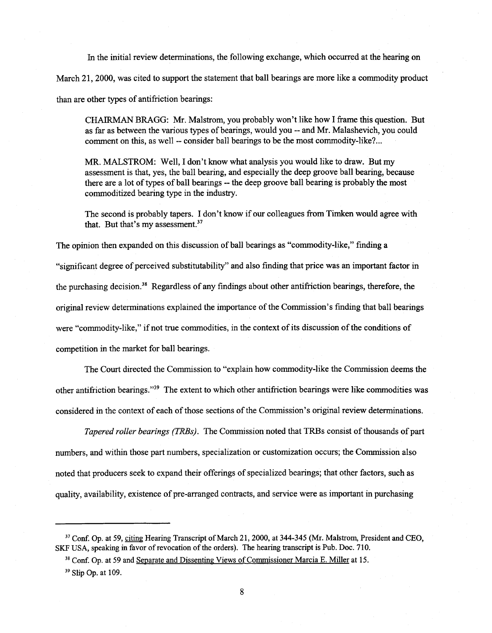In the initial review determinations, the following exchange, which occurred at the hearing on March 21, 2000, was cited to support the statement that ball bearings are more like a commodity product than are other types of antifriction bearings:

CHAIRMAN BRAGG: Mr. Malstrom, you probably won't like how I frame this question. But as far as between the various types of bearings, would you -- and Mr. Malashevich, you could comment on this, as well -- consider ball bearings to be the most commodity-like? ...

MR. MALSTROM: Well, I don't know what analysis you would like to draw. But my assessment is that, yes, the ball bearing, and especially the deep groove ball bearing, because there are a lot of types of ball bearings -- the deep groove ball bearing is probably the most commoditized bearing type in the industry.

The second is probably tapers. I don't know if our colleagues from Timken would agree with that. But that's my assessment.<sup>37</sup>

The opinion then expanded on this discussion of ball bearings as "commodity-like," finding a "significant degree of perceived substitutability" and also finding that price was an important factor in the purchasing decision.<sup>38</sup> Regardless of any findings about other antifriction bearings, therefore, the original review determinations explained the importance of the Commission's finding that ball bearings were "commodity-like," if not true commodities, in the context of its discussion of the conditions of competition in the market for ball bearings.

The Court directed the Commission to "explain how commodity-like the Commission deems the other antifriction bearings."39 The extent to which other antifriction bearings were like commodities was considered in the context of each of those sections of the Commission's original review determinations.

*Tapered roller bearings (TRBs).* The Commission noted that TRBs consist of thousands of part numbers, and within those part numbers, specialization or customization occurs; the Commission also noted that producers seek to expand their offerings of specialized bearings; that other factors, such as quality, availability, existence of pre-arranged contracts, and service were as important in purchasing

<sup>&</sup>lt;sup>37</sup> Conf. Op. at 59, citing Hearing Transcript of March 21, 2000, at 344-345 (Mr. Malstrom, President and CEO, SKF USA, speaking in favor of revocation of the orders). The hearing transcript is Pub. Doc. 710.

<sup>&</sup>lt;sup>38</sup> Conf. Op. at 59 and Separate and Dissenting Views of Commissioner Marcia E. Miller at 15.

<sup>&</sup>lt;sup>39</sup> Slip Op. at 109.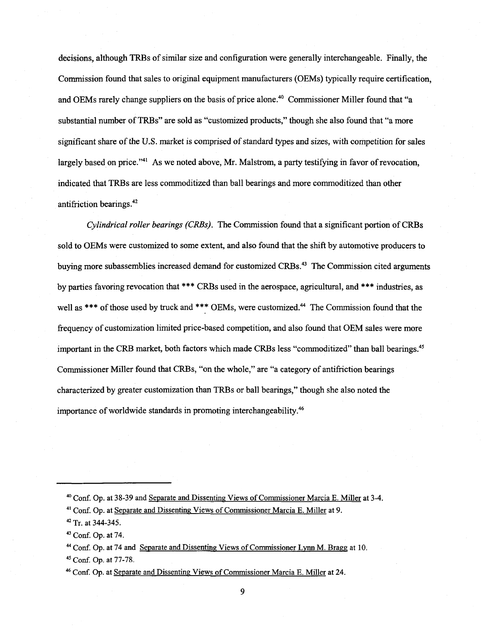decisions, although TRBs of similar size and configuration were generally interchangeable. Finally, the Commission found that sales to original equipment manufacturers (OEMs) typically require certification, and OEMs rarely change suppliers on the basis of price alone.<sup>40</sup> Commissioner Miller found that "a substantial number of TRBs" are sold as "customized products," though she also found that "a more significant share of the U.S. market is comprised of standard types and sizes, with competition for sales largely based on price."<sup>41</sup> As we noted above, Mr. Malstrom, a party testifying in favor of revocation, indicated that TRBs are less commoditized than ball bearings and more commoditized than other antifriction bearings.<sup>42</sup>

*Cylindrical roller bearings (CRBs).* The Commission found that a significant portion of CRBs sold to OEMs were customized to some extent, and also found that the shift by automotive producers to buying more subassemblies increased demand for customized CRBs.43 The Commission cited arguments by parties favoring revocation that \*\*\* CRBs used in the aerospace, agricultural, and \*\*\* industries, as well as \*\*\* of those used by truck and \*\*\* OEMs, were customized.<sup>44</sup> The Commission found that the frequency of customization limited price-based competition, and also found that OEM sales were more important in the CRB market, both factors which made CRBs less "commoditized" than ball bearings.45 Commissioner Miller found that CRBs, "on the whole," are "a category of antifriction bearings characterized by greater customization than TRBs or ball bearings," though she also noted the importance of worldwide standards in promoting interchangeability.46

45 Conf. Op. at 77-78.

<sup>&</sup>lt;sup>40</sup> Conf. Op. at 38-39 and Separate and Dissenting Views of Commissioner Marcia E. Miller at 3-4.

<sup>41</sup> Conf. Op. at Separate and Dissenting Views of Commissioner Marcia E. Miller at 9.

<sup>42</sup> Tr. at 344-345.

<sup>43</sup> Conf. Op. at 74.

<sup>44</sup> Conf. Op. at 74 and Separate and Dissenting Views of Commissioner Lynn M. Bragg at 10.

<sup>&</sup>lt;sup>46</sup> Conf. Op. at Separate and Dissenting Views of Commissioner Marcia E. Miller at 24.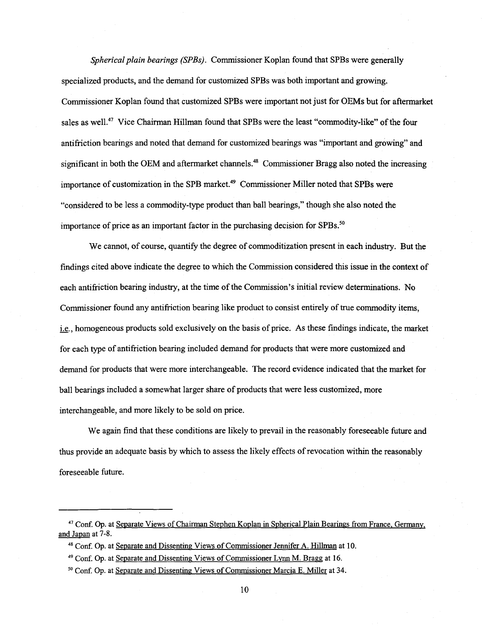*Spherical plain bearings (SPBs).* Commissioner Koplan found that SPBs were generally specialized products, and the demand for customized SPBs was both important and growing. Commissioner Koplan found that customized SPBs were important not just for OEMs but for aftermarket sales as well.<sup>47</sup> Vice Chairman Hillman found that SPBs were the least "commodity-like" of the four antifriction bearings and noted that demand for customized bearings was "important and growing" and significant in both the OEM and aftermarket channels.<sup>48</sup> Commissioner Bragg also noted the increasing importance of customization in the SPB market.<sup>49</sup> Commissioner Miller noted that SPBs were "considered to be less a commodity-type product than ball bearings," though she also noted the importance of price as an important factor in the purchasing decision for SPBs. $50$ 

We cannot, of course, quantify the degree of commoditization present in each industry. But the findings cited above indicate the degree to which the Commission considered this issue in the context of each antifriction bearing industry, at the time of the Commission's initial review determinations. No Commissioner found any antifriction bearing like product to consist entirely of true commodity items, i.e., homogeneous products sold exclusively on the basis of price. As these findings indicate, the market for each type of antifriction bearing included demand for products that were more customized and demand for products that were more interchangeable. The record evidence indicated that the market for ball bearings included a somewhat larger share of products that were less customized, more interchangeable, and more likely to be sold on price.

We again find that these conditions are likely to prevail in the reasonably foreseeable future and thus provide an adequate basis by which to assess the likely effects of revocation within the reasonably foreseeable future.

<sup>47</sup> Conf. Op. at Separate Views of Chairman Stephen Koplan in Spherical Plain Bearings from France, Germany, and Japan at 7-8.

<sup>48</sup> Conf. Op. at Separate and Dissenting Views of Commissioner Jennifer A. Hillman at 10.

<sup>49</sup> Conf. Op. at Separate and Dissenting Views of Commissioner Lynn M. Bragg at 16.

<sup>&</sup>lt;sup>50</sup> Conf. Op. at Separate and Dissenting Views of Commissioner Marcia E. Miller at 34.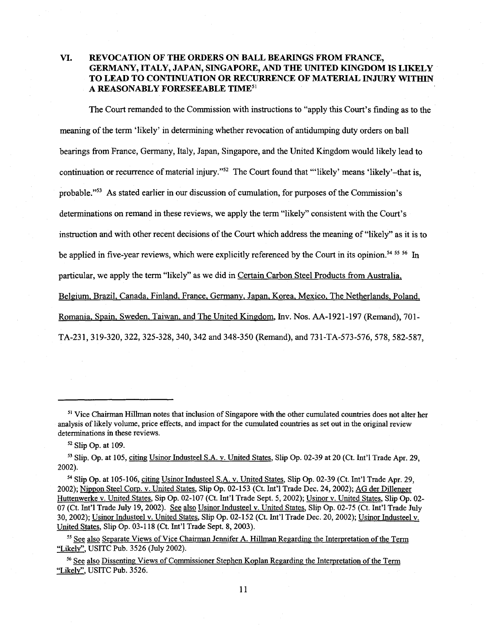#### VI. REVOCATION OF THE ORDERS ON BALL BEARINGS FROM FRANCE, GERMANY, ITALY, JAPAN, SINGAPORE, AND THE UNITED KINGDOM IS LIKELY TO LEAD TO CONTINUATION OR RECURRENCE OF MATERIAL INJURY WITHIN A REASONABLY FORESEEABLE TIME<sup>51</sup>

The Court remanded to the Commission with instructions to "apply this Court's finding as to the meaning of the term 'likely' in determining whether revocation of antidumping duty orders on ball bearings from France, Germany, Italy, Japan, Singapore, and the United Kingdom would likely lead to continuation or recurrence of material injury."<sup>52</sup> The Court found that "'likely' means 'likely'-that is, probable."53 As stated earlier in our discussion of cumulation, for purposes of the Commission's determinations on remand in these reviews, we apply the term "likely" consistent with the Court's instruction and with other recent decisions of the Court which address the meaning of "likely" as it is to be applied in five-year reviews, which were explicitly referenced by the Court in its opinion.54 *55* 56 In particular, we apply the term "likely" as we did in Certain Carbon Steel Products from Australia, Belgium. Brazil, Canada, Finland, France, Germany, Japan, Korea, Mexico, The Netherlands, Poland, Romania, Spain. Sweden. Taiwan, and The United Kingdom, Inv. Nos. AA-1921-197 (Remand), 701- TA-231, 319-320, 322, 325-328, 340, 342 and 348-350 (Remand), and 731-TA-573-576, 578, 582-587,

<sup>51</sup> Vice Chairman Hillman notes that inclusion of Singapore with the other cumulated countries does not alter her analysis of likely volume, price effects, and impact for the cumulated countries as set out in the original review determinations in these reviews.

*<sup>52</sup>*Slip Op. at 109.

<sup>53</sup> Slip. Op. at 105, citing Usinor Industeel S.A. v. United States, Slip Op. 02-39 at 20 (Ct. Int'l Trade Apr. 29, 2002).

<sup>54</sup> Slip Op. at 105-106, citing Usinor Industeel S.A. v. United States, Slip Op. 02-39 (Ct. lnt'l Trade Apr. 29, 2002); Nippon Steel Com. v. United States, Slip Op. 02-153 (Ct. lnt'l Trade Dec. 24, 2002); AG der Dillenger Huttenwerke v. United States, Sip Op. 02-107 (Ct. Int'l Trade Sept. 5, 2002); Usinor v. United States, Slip Op. 02- 07 (Ct. Int'l Trade July 19, 2002). See also Usinor Industeel v. United States, Slip Op. 02-75 (Ct. Int'l Trade July 30, 2002); Usinor Industeel v. United States, Slip Op. 02-152 (Ct. Int'l Trade Dec. 20, 2002); Usinor Industeel v. United States, Slip Op. 03-118 (Ct. Int'l Trade Sept. 8, 2003).

<sup>&</sup>lt;sup>55</sup> See also Separate Views of Vice Chairman Jennifer A. Hillman Regarding the Interpretation of the Term "Likely", USITC Pub. 3526 (July 2002).

<sup>&</sup>lt;sup>56</sup> See also Dissenting Views of Commissioner Stephen Koplan Regarding the Interpretation of the Term "Likely", USITC Pub. 3526.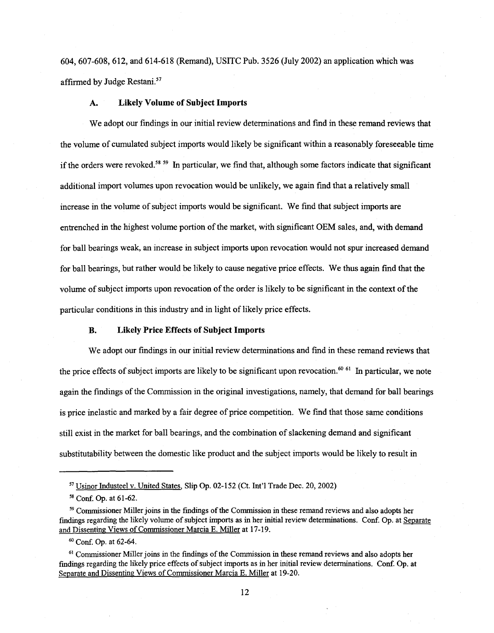604, 607-608, 612, and 614-618 (Remand), USITC Pub. 3526 (July 2002) an application which was affirmed by Judge Restani.<sup>57</sup>

#### A. Likely Volume of Subject Imports

We adopt our findings in our initial review determinations and find in these remand reviews that the volume of cumulated subject imports would likely be significant within a reasonably foreseeable time if the orders were revoked.<sup>58 59</sup> In particular, we find that, although some factors indicate that significant additional import volumes upon revocation would be unlikely, we again find that a relatively small increase in the volume of subject imports would be significant. We find that subject imports are entrenched in the highest volume portion of the market, with significant OEM sales, and, with demand for ball bearings weak, an increase in subject imports upon revocation would not spur increased demand for ball bearings, but rather would be likely to cause negative price effects. We thus again find that the volume of subject imports upon revocation of the order is likely to be significant in the context of the particular conditions in this industry and in light of likely price effects.

#### B. Likely Price Effects of Subject Imports

We adopt our findings in our initial review determinations and find in these remand reviews that the price effects of subject imports are likely to be significant upon revocation.<sup>60 61</sup> In particular, we note again the findings of the Commission in the original investigations, namely, that demand for ball bearings is price inelastic and marked by a fair degree of price competition. We find that those same conditions still exist in the market for ball bearings, and the combination of slackening demand and significant substitutability between the domestic like product and the subject imports would be likely to result in

<sup>57</sup> Usinor Industeel v. United States, Slip Op. 02-152 (Ct. Int'l Trade Dec. 20, 2002)

<sup>58</sup> Conf. Op. at 61-62.

<sup>59</sup> Commissioner Miller joins in the findings of the Commission in these remand reviews and also adopts her findings regarding the likely volume of subject imports as in her initial review determinations. Conf. Op. at Separate and Dissenting Views of Commissioner Marcia E. Miller at 17-19.

<sup>6</sup> ° Conf. Op. at 62-64.

<sup>61</sup> Commissioner Miller joins in the findings of the Commission in these remand reviews and also adopts her fmdings regarding the likely price effects of subject imports as in her initial review determinations. Conf. Op. at Separate and Dissenting Views of Commissioner Marcia E. Miller at 19-20.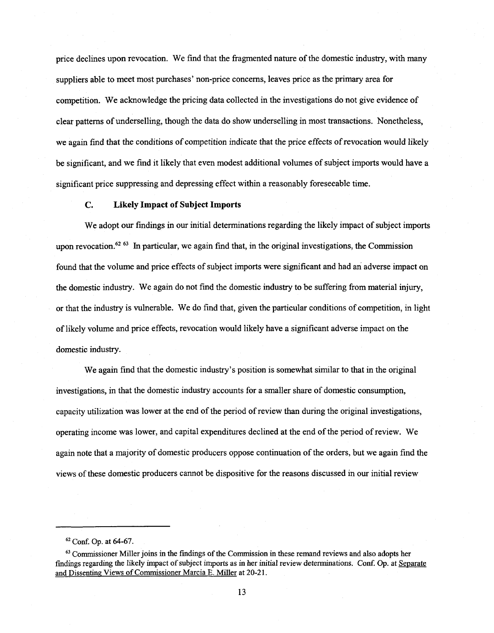price declines upon revocation. We find that the fragmented nature of the domestic industry, with many suppliers able to meet most purchases' non-price concerns, leaves price as the primary area for competition. We acknowledge the pricing data collected in the investigations do not give evidence of clear patterns of underselling, though the data do show underselling in most transactions. Nonetheless, we again find that the conditions of competition indicate that the price effects of revocation would likely be significant, and we find it likely that even modest additional volumes of subject imports would have a significant price suppressing and depressing effect within a reasonably foreseeable time.

#### **C. Likely Impact of Subject Imports**

We adopt our findings in our initial determinations regarding the likely impact of subject imports upon revocation.<sup>62 63</sup> In particular, we again find that, in the original investigations, the Commission found that the volume and price effects of subject imports were significant and had an adverse impact on the domestic industry. We again do not find the domestic industry to be suffering from material injury, or that the industry is vulnerable. We do find that, given the particular conditions of competition, in light of likely volume and price effects, revocation would likely have a significant adverse impact on the domestic industry.

We again find that the domestic industry's position is somewhat similar to that in the original investigations, in that the domestic industry accounts for a smaller share of domestic consumption, capacity utilization was lower at the end of the period of review than during the original investigations, operating income was lower, and capital expenditures declined at the end of the period ofreview. We again note that a majority of domestic producers oppose continuation of the orders, but we again find the views of these domestic producers cannot be dispositive for the reasons discussed in our initial review

<sup>62</sup> Conf. Op. at 64-67.

 $<sup>63</sup>$  Commissioner Miller joins in the findings of the Commission in these remand reviews and also adopts her</sup> findings regarding the likely impact of subject imports as in her initial review determinations. Conf. Op. at Separate and Dissenting Views of Commissioner Marcia E. Miller at 20-21.